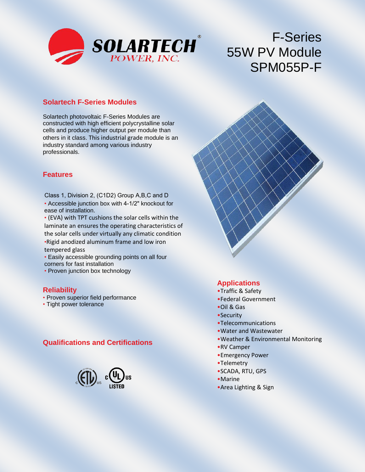

# F-Series 55W PV Module SPM055P-F

#### **Solartech F-Series Modules**

Solartech photovoltaic F-Series Modules are constructed with high efficient polycrystalline solar cells and produce higher output per module than others in it class. This industrial grade module is an industry standard among various industry professionals.

#### **Features**

- Accessible junction box with 4-1/2" knockout for ease of installation. Class 1, Division 2, (C1D2) Group A,B,C and D
- (EVA) with TPT cushions the solar cells within the laminate an ensures the operating characteristics of the solar cells under virtually any climatic condition •Rigid anodized aluminum frame and low iron tempered glass
- Easily accessible grounding points on all four corners for fast installation
- Proven junction box technology

#### **Reliability**

- Proven superior field performance
- Tight power tolerance

## **Qualifications and Certifications**



#### **Applications**

- •Traffic & Safety
- •Federal Government
- •Oil & Gas
- •Security
- •Telecommunications
- •Water and Wastewater
- •Weather & Environmental Monitoring
- •RV Camper
- •Emergency Power
- •Telemetry
- •SCADA, RTU, GPS
- •Marine
- •Area Lighting & Sign